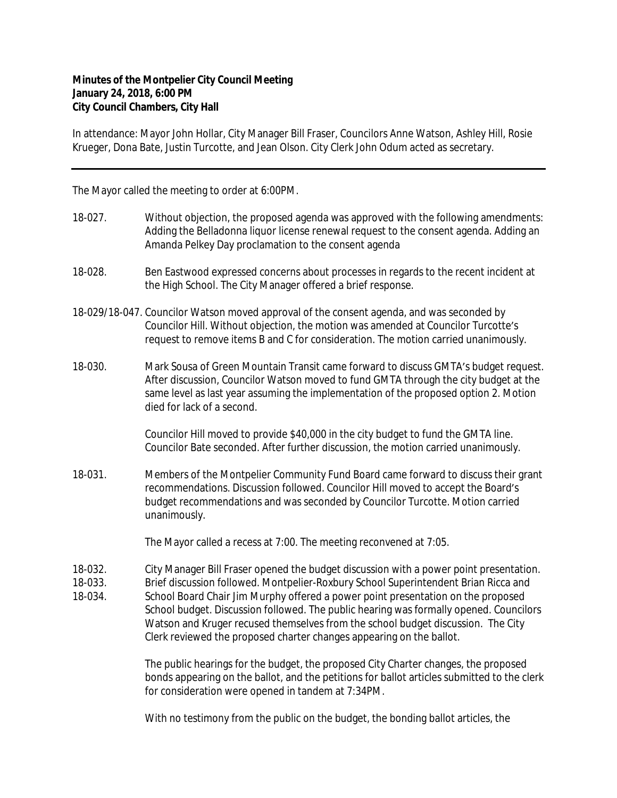## **Minutes of the Montpelier City Council Meeting January 24, 2018, 6:00 PM City Council Chambers, City Hall**

In attendance: Mayor John Hollar, City Manager Bill Fraser, Councilors Anne Watson, Ashley Hill, Rosie Krueger, Dona Bate, Justin Turcotte, and Jean Olson. City Clerk John Odum acted as secretary.

The Mayor called the meeting to order at 6:00PM.

- 18-027. Without objection, the proposed agenda was approved with the following amendments: Adding the Belladonna liquor license renewal request to the consent agenda. Adding an Amanda Pelkey Day proclamation to the consent agenda
- 18-028. Ben Eastwood expressed concerns about processes in regards to the recent incident at the High School. The City Manager offered a brief response.
- 18-029/18-047. Councilor Watson moved approval of the consent agenda, and was seconded by Councilor Hill. Without objection, the motion was amended at Councilor Turcotte's request to remove items B and C for consideration. The motion carried unanimously.
- 18-030. Mark Sousa of Green Mountain Transit came forward to discuss GMTA's budget request. After discussion, Councilor Watson moved to fund GMTA through the city budget at the same level as last year assuming the implementation of the proposed option 2. Motion died for lack of a second.

Councilor Hill moved to provide \$40,000 in the city budget to fund the GMTA line. Councilor Bate seconded. After further discussion, the motion carried unanimously.

18-031. Members of the Montpelier Community Fund Board came forward to discuss their grant recommendations. Discussion followed. Councilor Hill moved to accept the Board's budget recommendations and was seconded by Councilor Turcotte. Motion carried unanimously.

The Mayor called a recess at 7:00. The meeting reconvened at 7:05.

18-032. City Manager Bill Fraser opened the budget discussion with a power point presentation.

18-033. Brief discussion followed. Montpelier-Roxbury School Superintendent Brian Ricca and

18-034. School Board Chair Jim Murphy offered a power point presentation on the proposed School budget. Discussion followed. The public hearing was formally opened. Councilors Watson and Kruger recused themselves from the school budget discussion. The City Clerk reviewed the proposed charter changes appearing on the ballot.

> The public hearings for the budget, the proposed City Charter changes, the proposed bonds appearing on the ballot, and the petitions for ballot articles submitted to the clerk for consideration were opened in tandem at 7:34PM.

With no testimony from the public on the budget, the bonding ballot articles, the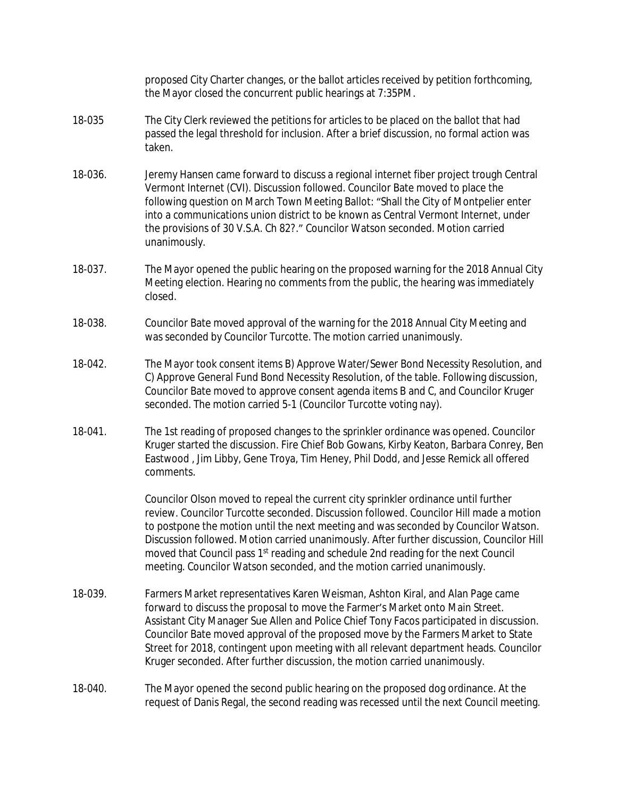proposed City Charter changes, or the ballot articles received by petition forthcoming, the Mayor closed the concurrent public hearings at 7:35PM.

- 18-035 The City Clerk reviewed the petitions for articles to be placed on the ballot that had passed the legal threshold for inclusion. After a brief discussion, no formal action was taken.
- 18-036. Jeremy Hansen came forward to discuss a regional internet fiber project trough Central Vermont Internet (CVI). Discussion followed. Councilor Bate moved to place the following question on March Town Meeting Ballot: "Shall the City of Montpelier enter into a communications union district to be known as Central Vermont Internet, under the provisions of 30 V.S.A. Ch 82?." Councilor Watson seconded. Motion carried unanimously.
- 18-037. The Mayor opened the public hearing on the proposed warning for the 2018 Annual City Meeting election. Hearing no comments from the public, the hearing was immediately closed.
- 18-038. Councilor Bate moved approval of the warning for the 2018 Annual City Meeting and was seconded by Councilor Turcotte. The motion carried unanimously.
- 18-042. The Mayor took consent items B) Approve Water/Sewer Bond Necessity Resolution, and C) Approve General Fund Bond Necessity Resolution, of the table. Following discussion, Councilor Bate moved to approve consent agenda items B and C, and Councilor Kruger seconded. The motion carried 5-1 (Councilor Turcotte voting nay).
- 18-041. The 1st reading of proposed changes to the sprinkler ordinance was opened. Councilor Kruger started the discussion. Fire Chief Bob Gowans, Kirby Keaton, Barbara Conrey, Ben Eastwood , Jim Libby, Gene Troya, Tim Heney, Phil Dodd, and Jesse Remick all offered comments.

Councilor Olson moved to repeal the current city sprinkler ordinance until further review. Councilor Turcotte seconded. Discussion followed. Councilor Hill made a motion to postpone the motion until the next meeting and was seconded by Councilor Watson. Discussion followed. Motion carried unanimously. After further discussion, Councilor Hill moved that Council pass 1<sup>st</sup> reading and schedule 2nd reading for the next Council meeting. Councilor Watson seconded, and the motion carried unanimously.

- 18-039. Farmers Market representatives Karen Weisman, Ashton Kiral, and Alan Page came forward to discuss the proposal to move the Farmer's Market onto Main Street. Assistant City Manager Sue Allen and Police Chief Tony Facos participated in discussion. Councilor Bate moved approval of the proposed move by the Farmers Market to State Street for 2018, contingent upon meeting with all relevant department heads. Councilor Kruger seconded. After further discussion, the motion carried unanimously.
- 18-040. The Mayor opened the second public hearing on the proposed dog ordinance. At the request of Danis Regal, the second reading was recessed until the next Council meeting.